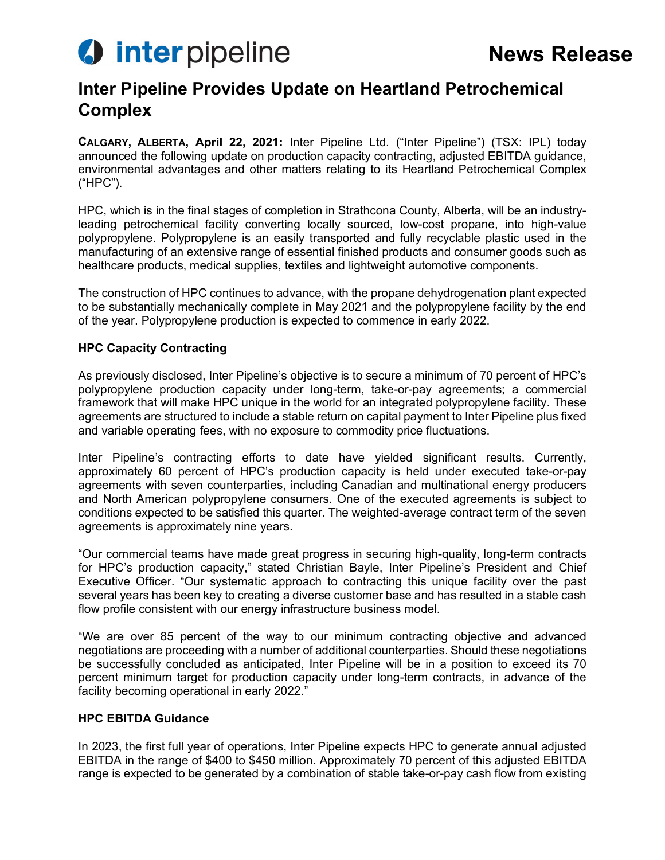

# **Inter Pipeline Provides Update on Heartland Petrochemical Complex**

**CALGARY, ALBERTA, April 22, 2021:** Inter Pipeline Ltd. ("Inter Pipeline") (TSX: IPL) today announced the following update on production capacity contracting, adjusted EBITDA guidance, environmental advantages and other matters relating to its Heartland Petrochemical Complex ("HPC").

HPC, which is in the final stages of completion in Strathcona County, Alberta, will be an industryleading petrochemical facility converting locally sourced, low-cost propane, into high-value polypropylene. Polypropylene is an easily transported and fully recyclable plastic used in the manufacturing of an extensive range of essential finished products and consumer goods such as healthcare products, medical supplies, textiles and lightweight automotive components.

The construction of HPC continues to advance, with the propane dehydrogenation plant expected to be substantially mechanically complete in May 2021 and the polypropylene facility by the end of the year. Polypropylene production is expected to commence in early 2022.

#### **HPC Capacity Contracting**

As previously disclosed, Inter Pipeline's objective is to secure a minimum of 70 percent of HPC's polypropylene production capacity under long-term, take-or-pay agreements; a commercial framework that will make HPC unique in the world for an integrated polypropylene facility. These agreements are structured to include a stable return on capital payment to Inter Pipeline plus fixed and variable operating fees, with no exposure to commodity price fluctuations.

Inter Pipeline's contracting efforts to date have yielded significant results. Currently, approximately 60 percent of HPC's production capacity is held under executed take-or-pay agreements with seven counterparties, including Canadian and multinational energy producers and North American polypropylene consumers. One of the executed agreements is subject to conditions expected to be satisfied this quarter. The weighted-average contract term of the seven agreements is approximately nine years.

"Our commercial teams have made great progress in securing high-quality, long-term contracts for HPC's production capacity," stated Christian Bayle, Inter Pipeline's President and Chief Executive Officer. "Our systematic approach to contracting this unique facility over the past several years has been key to creating a diverse customer base and has resulted in a stable cash flow profile consistent with our energy infrastructure business model.

"We are over 85 percent of the way to our minimum contracting objective and advanced negotiations are proceeding with a number of additional counterparties. Should these negotiations be successfully concluded as anticipated, Inter Pipeline will be in a position to exceed its 70 percent minimum target for production capacity under long-term contracts, in advance of the facility becoming operational in early 2022."

#### **HPC EBITDA Guidance**

In 2023, the first full year of operations, Inter Pipeline expects HPC to generate annual adjusted EBITDA in the range of \$400 to \$450 million. Approximately 70 percent of this adjusted EBITDA range is expected to be generated by a combination of stable take-or-pay cash flow from existing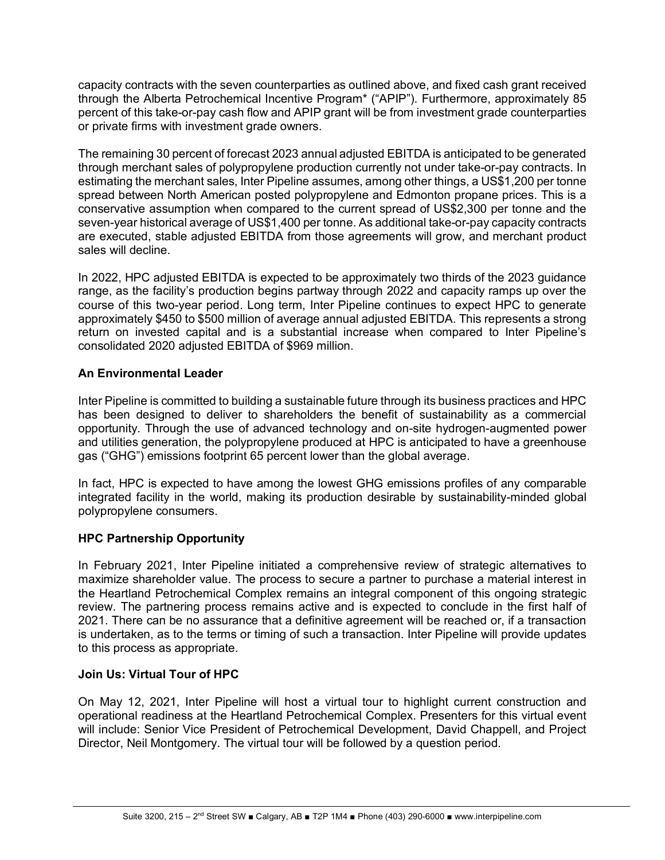capacity contracts with the seven counterparties as outlined above, and fixed cash grant received through the Alberta Petrochemical Incentive Program\* ("APIP"). Furthermore, approximately 85 percent of this take-or-pay cash flow and APIP grant will be from investment grade counterparties or private firms with investment grade owners.

The remaining 30 percent of forecast 2023 annual adjusted EBITDA is anticipated to be generated through merchant sales of polypropylene production currently not under take-or-pay contracts. In estimating the merchant sales, Inter Pipeline assumes, among other things, a US\$1,200 per tonne spread between North American posted polypropylene and Edmonton propane prices. This is a conservative assumption when compared to the current spread of US\$2,300 per tonne and the seven-year historical average of US\$1,400 per tonne. As additional take-or-pay capacity contracts are executed, stable adjusted EBITDA from those agreements will grow, and merchant product sales will decline.

In 2022, HPC adjusted EBITDA is expected to be approximately two thirds of the 2023 guidance range, as the facility's production begins partway through 2022 and capacity ramps up over the course of this two-year period. Long term, Inter Pipeline continues to expect HPC to generate approximately \$450 to \$500 million of average annual adjusted EBITDA. This represents a strong return on invested capital and is a substantial increase when compared to Inter Pipeline's consolidated 2020 adjusted EBITDA of \$969 million.

# **An Environmental Leader**

Inter Pipeline is committed to building a sustainable future through its business practices and HPC has been designed to deliver to shareholders the benefit of sustainability as a commercial opportunity. Through the use of advanced technology and on-site hydrogen-augmented power and utilities generation, the polypropylene produced at HPC is anticipated to have a greenhouse gas ("GHG") emissions footprint 65 percent lower than the global average.

In fact, HPC is expected to have among the lowest GHG emissions profiles of any comparable integrated facility in the world, making its production desirable by sustainability-minded global polypropylene consumers.

# **HPC Partnership Opportunity**

In February 2021, Inter Pipeline initiated a comprehensive review of strategic alternatives to maximize shareholder value. The process to secure a partner to purchase a material interest in the Heartland Petrochemical Complex remains an integral component of this ongoing strategic review. The partnering process remains active and is expected to conclude in the first half of 2021. There can be no assurance that a definitive agreement will be reached or, if a transaction is undertaken, as to the terms or timing of such a transaction. Inter Pipeline will provide updates to this process as appropriate.

# **Join Us: Virtual Tour of HPC**

On May 12, 2021, Inter Pipeline will host a virtual tour to highlight current construction and operational readiness at the Heartland Petrochemical Complex. Presenters for this virtual event will include: Senior Vice President of Petrochemical Development, David Chappell, and Project Director, Neil Montgomery. The virtual tour will be followed by a question period.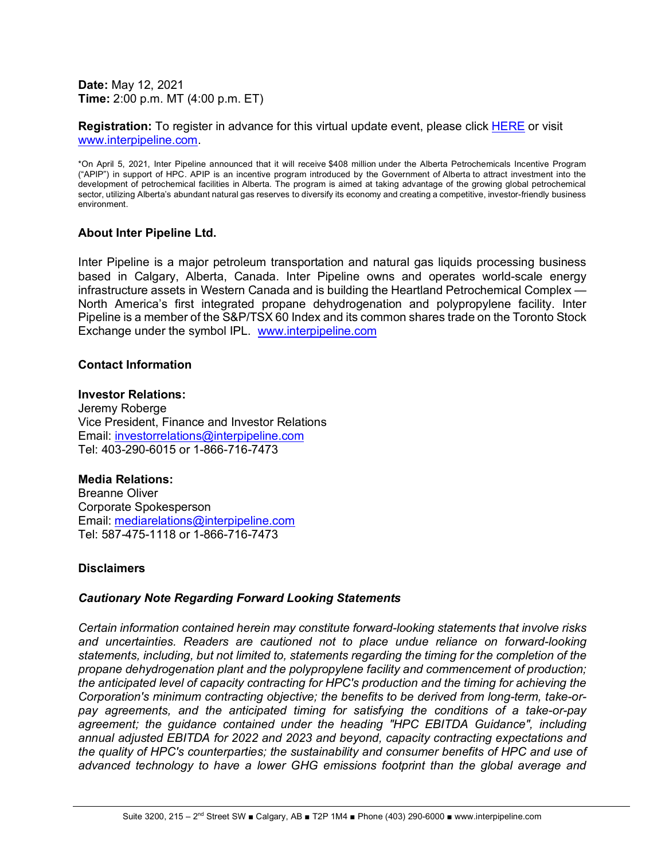**Date:** May 12, 2021 **Time:** 2:00 p.m. MT (4:00 p.m. ET)

**Registration:** To register in advance for this virtual update event, please click [HERE](https://produceredition.webcasts.com/starthere.jsp?ei=1455903&tp_key=09beff1324) or visit [www.interpipeline.com.](http://www.interpipeline.com/)

\*On April 5, 2021, Inter Pipeline announced that it will receive \$408 million under the Alberta Petrochemicals Incentive Program ("APIP") in support of HPC. APIP is an incentive program introduced by the Government of Alberta to attract investment into the development of petrochemical facilities in Alberta. The program is aimed at taking advantage of the growing global petrochemical sector, utilizing Alberta's abundant natural gas reserves to diversify its economy and creating a competitive, investor-friendly business environment.

#### **About Inter Pipeline Ltd.**

Inter Pipeline is a major petroleum transportation and natural gas liquids processing business based in Calgary, Alberta, Canada. Inter Pipeline owns and operates world-scale energy infrastructure assets in Western Canada and is building the Heartland Petrochemical Complex — North America's first integrated propane dehydrogenation and polypropylene facility. Inter Pipeline is a member of the S&P/TSX 60 Index and its common shares trade on the Toronto Stock Exchange under the symbol IPL. [www.interpipeline.com](http://www.interpipeline.com/)

#### **Contact Information**

### **Investor Relations:**

Jeremy Roberge Vice President, Finance and Investor Relations Email: [investorrelations@interpipeline.com](mailto:investorrelations@interpipeline.com) Tel: 403-290-6015 or 1-866-716-7473

#### **Media Relations:**

Breanne Oliver Corporate Spokesperson Email: [mediarelations@interpipeline.com](mailto:mediarelations@interpipeline.com) Tel: 587-475-1118 or 1-866-716-7473

#### **Disclaimers**

#### *Cautionary Note Regarding Forward Looking Statements*

*Certain information contained herein may constitute forward-looking statements that involve risks and uncertainties. Readers are cautioned not to place undue reliance on forward-looking statements, including, but not limited to, statements regarding the timing for the completion of the propane dehydrogenation plant and the polypropylene facility and commencement of production; the anticipated level of capacity contracting for HPC's production and the timing for achieving the Corporation's minimum contracting objective; the benefits to be derived from long-term, take-orpay agreements, and the anticipated timing for satisfying the conditions of a take-or-pay agreement; the guidance contained under the heading "HPC EBITDA Guidance", including annual adjusted EBITDA for 2022 and 2023 and beyond, capacity contracting expectations and the quality of HPC's counterparties; the sustainability and consumer benefits of HPC and use of advanced technology to have a lower GHG emissions footprint than the global average and*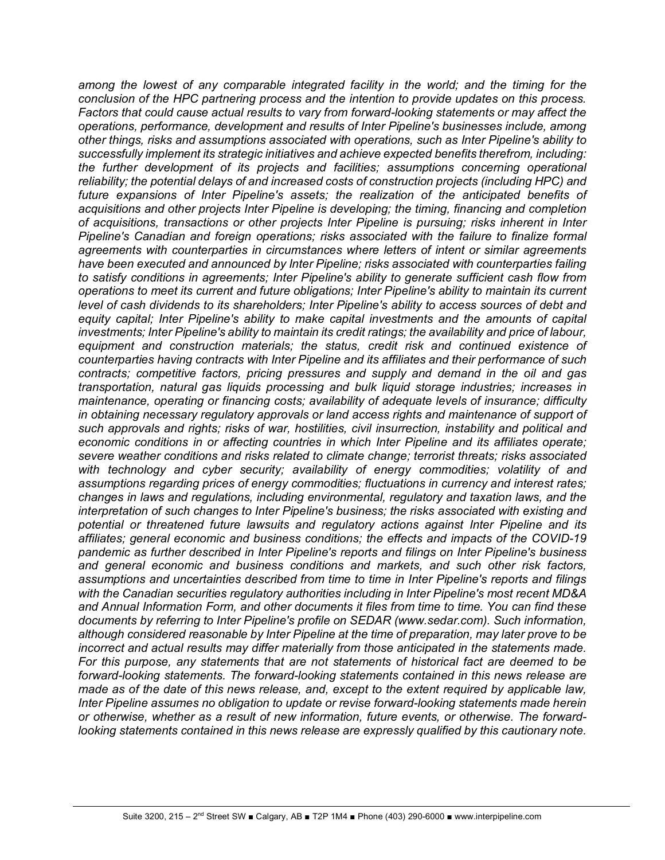among the lowest of any comparable integrated facility in the world; and the timing for the *conclusion of the HPC partnering process and the intention to provide updates on this process. Factors that could cause actual results to vary from forward-looking statements or may affect the operations, performance, development and results of Inter Pipeline's businesses include, among other things, risks and assumptions associated with operations, such as Inter Pipeline's ability to successfully implement its strategic initiatives and achieve expected benefits therefrom, including: the further development of its projects and facilities; assumptions concerning operational reliability; the potential delays of and increased costs of construction projects (including HPC) and*  future expansions of Inter Pipeline's assets; the realization of the anticipated benefits of *acquisitions and other projects Inter Pipeline is developing; the timing, financing and completion of acquisitions, transactions or other projects Inter Pipeline is pursuing; risks inherent in Inter Pipeline's Canadian and foreign operations; risks associated with the failure to finalize formal agreements with counterparties in circumstances where letters of intent or similar agreements have been executed and announced by Inter Pipeline; risks associated with counterparties failing to satisfy conditions in agreements; Inter Pipeline's ability to generate sufficient cash flow from operations to meet its current and future obligations; Inter Pipeline's ability to maintain its current level of cash dividends to its shareholders; Inter Pipeline's ability to access sources of debt and equity capital; Inter Pipeline's ability to make capital investments and the amounts of capital investments; Inter Pipeline's ability to maintain its credit ratings; the availability and price of labour, equipment and construction materials; the status, credit risk and continued existence of counterparties having contracts with Inter Pipeline and its affiliates and their performance of such contracts; competitive factors, pricing pressures and supply and demand in the oil and gas transportation, natural gas liquids processing and bulk liquid storage industries; increases in maintenance, operating or financing costs; availability of adequate levels of insurance; difficulty in obtaining necessary regulatory approvals or land access rights and maintenance of support of such approvals and rights; risks of war, hostilities, civil insurrection, instability and political and economic conditions in or affecting countries in which Inter Pipeline and its affiliates operate; severe weather conditions and risks related to climate change; terrorist threats; risks associated with technology and cyber security; availability of energy commodities; volatility of and assumptions regarding prices of energy commodities; fluctuations in currency and interest rates; changes in laws and regulations, including environmental, regulatory and taxation laws, and the interpretation of such changes to Inter Pipeline's business; the risks associated with existing and potential or threatened future lawsuits and regulatory actions against Inter Pipeline and its affiliates; general economic and business conditions; the effects and impacts of the COVID-19 pandemic as further described in Inter Pipeline's reports and filings on Inter Pipeline's business and general economic and business conditions and markets, and such other risk factors, assumptions and uncertainties described from time to time in Inter Pipeline's reports and filings with the Canadian securities regulatory authorities including in Inter Pipeline's most recent MD&A and Annual Information Form, and other documents it files from time to time. You can find these documents by referring to Inter Pipeline's profile on SEDAR (www.sedar.com). Such information, although considered reasonable by Inter Pipeline at the time of preparation, may later prove to be incorrect and actual results may differ materially from those anticipated in the statements made. For this purpose, any statements that are not statements of historical fact are deemed to be forward-looking statements. The forward-looking statements contained in this news release are made as of the date of this news release, and, except to the extent required by applicable law, Inter Pipeline assumes no obligation to update or revise forward-looking statements made herein or otherwise, whether as a result of new information, future events, or otherwise. The forwardlooking statements contained in this news release are expressly qualified by this cautionary note.*